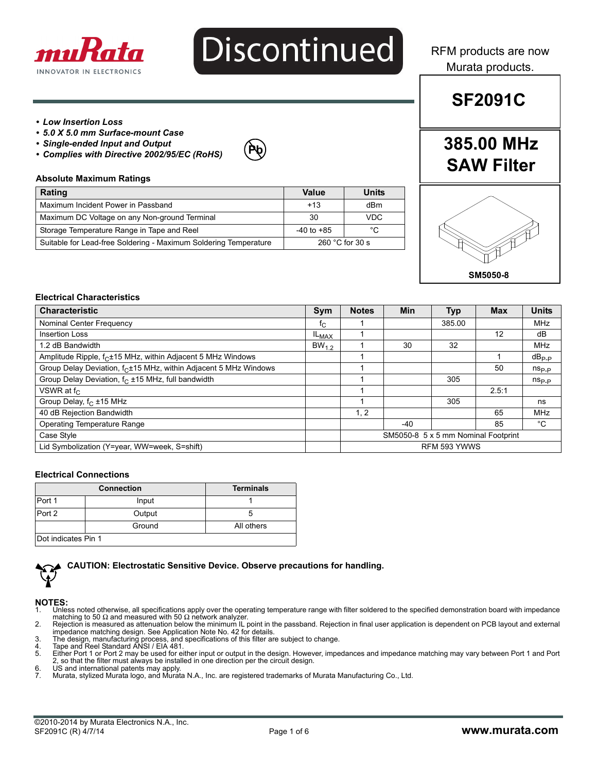

# **Discontinued**

RFM products are now Murata products.

**SF2091C**

## *• Low Insertion Loss*

*• 5.0 X 5.0 mm Surface-mount Case*

*• Complies with Directive 2002/95/EC (RoHS)*

- *Single-ended Input and Output*
- **Pb**

## **Absolute Maximum Ratings**

| <b>Rating</b>                                                    | Value                     | Units      |
|------------------------------------------------------------------|---------------------------|------------|
| Maximum Incident Power in Passband                               | $+13$                     | dBm        |
| Maximum DC Voltage on any Non-ground Terminal                    | 30                        | <b>VDC</b> |
| Storage Temperature Range in Tape and Reel                       | $-40$ to $+85$            | °C         |
| Suitable for Lead-free Soldering - Maximum Soldering Temperature | 260 $^{\circ}$ C for 30 s |            |

# **385.00 MHz SAW Filter**



#### **Electrical Characteristics**

| <b>Characteristic</b>                                                        | Sym         | <b>Notes</b>                        | Min   | <b>Typ</b> | <b>Max</b> | <b>Units</b>   |
|------------------------------------------------------------------------------|-------------|-------------------------------------|-------|------------|------------|----------------|
| Nominal Center Frequency                                                     | $f_{\rm C}$ |                                     |       | 385.00     |            | <b>MHz</b>     |
| <b>Insertion Loss</b>                                                        | $IL_{MAX}$  |                                     |       |            | 12         | dB             |
| 1.2 dB Bandwidth                                                             | $BW_{12}$   |                                     | 30    | 32         |            | <b>MHz</b>     |
| Amplitude Ripple, f <sub>C</sub> ±15 MHz, within Adjacent 5 MHz Windows      |             |                                     |       |            |            | $dB_{P-P}$     |
| Group Delay Deviation, f <sub>C</sub> ±15 MHz, within Adjacent 5 MHz Windows |             |                                     |       |            | 50         | $n_{\rm Sp,p}$ |
| Group Delay Deviation, f <sub>C</sub> ±15 MHz, full bandwidth                |             |                                     |       | 305        |            | $ns_{p,p}$     |
| VSWR at $f_C$                                                                |             |                                     |       |            | 2.5:1      |                |
| Group Delay, f <sub>C</sub> ±15 MHz                                          |             |                                     |       | 305        |            | ns             |
| 40 dB Rejection Bandwidth                                                    |             | 1, 2                                |       |            | 65         | <b>MHz</b>     |
| Operating Temperature Range                                                  |             |                                     | $-40$ |            | 85         | °C             |
| Case Style                                                                   |             | SM5050-8 5 x 5 mm Nominal Footprint |       |            |            |                |
| Lid Symbolization (Y=year, WW=week, S=shift)                                 |             | RFM 593 YWWS                        |       |            |            |                |

#### **Electrical Connections**

|                     | <b>Connection</b> | <b>Terminals</b> |
|---------------------|-------------------|------------------|
| Port 1              | Input             |                  |
| Port 2              | Output            |                  |
|                     | Ground            | All others       |
| Dot indicates Pin 1 |                   |                  |



**CAUTION: Electrostatic Sensitive Device. Observe precautions for handling.**

## **NOTES:**<br>1 Unles

- 1. Unless noted otherwise, all specifications apply over the operating temperature range with filter soldered to the specified demonstration board with impedance<br>matching to 50 Ω and measured with 50 Ω network analyzer.<br>2
- impedance matching design. See Application Note No. 42 for details.
- 3. The design, manufacturing process, and specifications of this filter are subject to change. 4. Tape and Reel Standard ANSI / EIA 481.
- 
- 4. Tape and Reel Standard ANSI / EIA 481.<br>5. Either Port 1 or Port 2 may be used for either input or output in the design. However, impedances and impedance matching may vary between Port 1 and Port 2, so that the filter must always be installed in one direction per the circuit design.
- 6. US and international patents may apply.<br>7. Murata, stylized Murata logo, and Murat
- 7. Murata, stylized Murata logo, and Murata N.A., Inc. are registered trademarks of Murata Manufacturing Co., Ltd.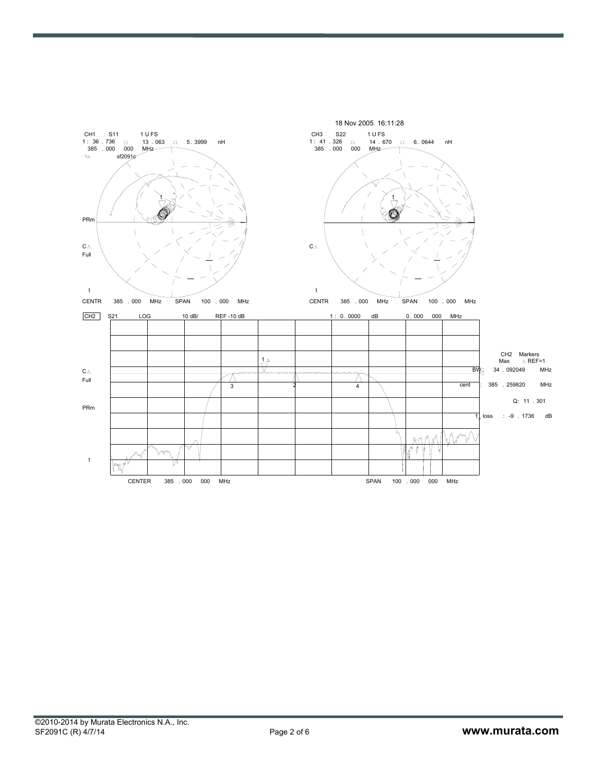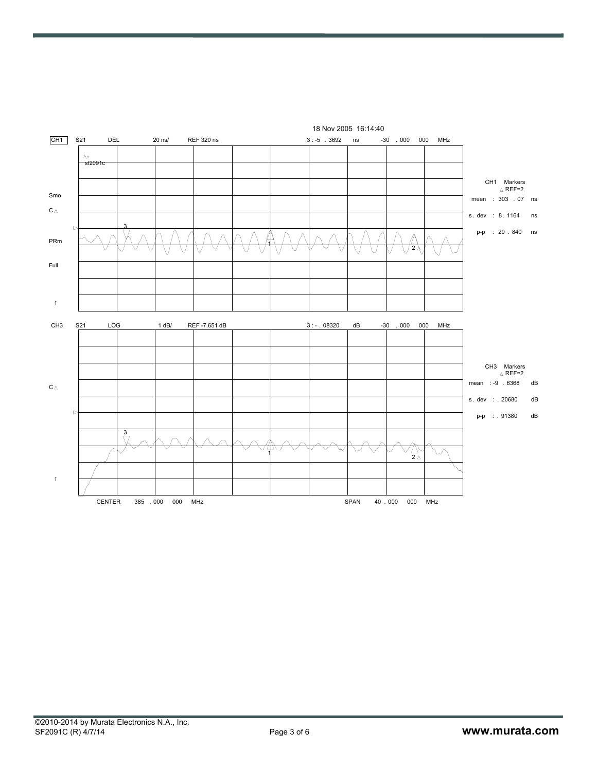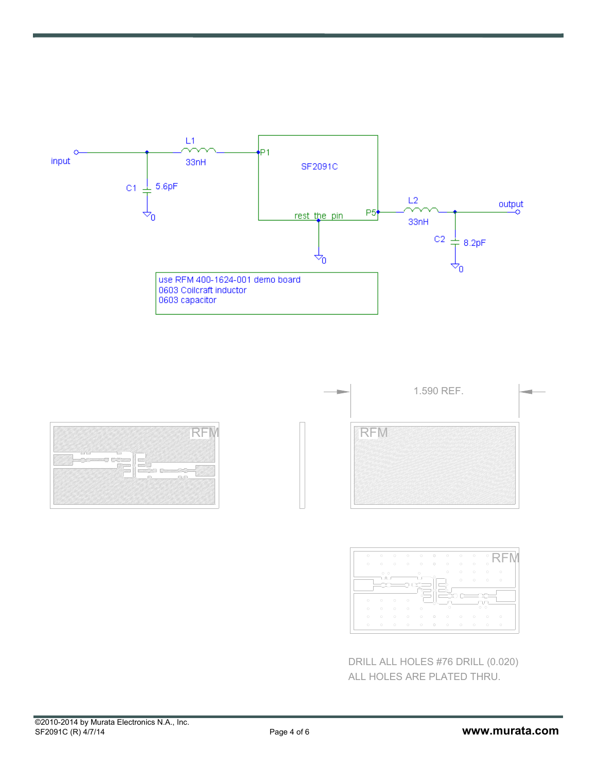





DRILL ALL HOLES #76 DRILL (0.020) ALL HOLES ARE PLATED THRU.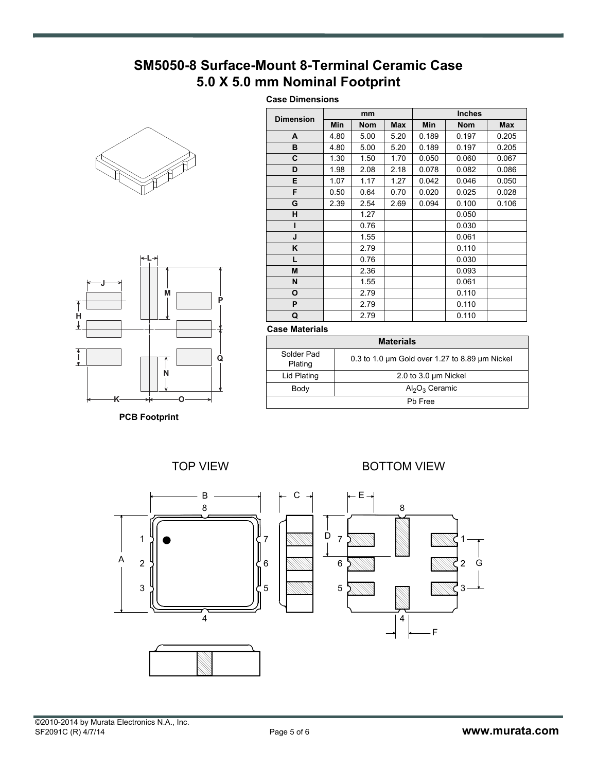## **SM5050-8 Surface-Mount 8-Terminal Ceramic Case 5.0 X 5.0 mm Nominal Footprint**

## **Case Dimensions**





**PCB Footprint**

| <b>Dimension</b> | mm         |            |      | <b>Inches</b> |            |            |  |
|------------------|------------|------------|------|---------------|------------|------------|--|
|                  | <b>Min</b> | <b>Nom</b> | Max  | <b>Min</b>    | <b>Nom</b> | <b>Max</b> |  |
| A                | 4.80       | 5.00       | 5.20 | 0.189         | 0.197      | 0.205      |  |
| в                | 4.80       | 5.00       | 5.20 | 0.189         | 0.197      | 0.205      |  |
| C                | 1.30       | 1.50       | 1.70 | 0.050         | 0.060      | 0.067      |  |
| D                | 1.98       | 2.08       | 2.18 | 0.078         | 0.082      | 0.086      |  |
| E                | 1.07       | 1.17       | 1.27 | 0.042         | 0.046      | 0.050      |  |
| F                | 0.50       | 0.64       | 0.70 | 0.020         | 0.025      | 0.028      |  |
| G                | 2.39       | 2.54       | 2.69 | 0.094         | 0.100      | 0.106      |  |
| н                |            | 1.27       |      |               | 0.050      |            |  |
| ı                |            | 0.76       |      |               | 0.030      |            |  |
| J                |            | 1.55       |      |               | 0.061      |            |  |
| ĸ                |            | 2.79       |      |               | 0.110      |            |  |
| L                |            | 0.76       |      |               | 0.030      |            |  |
| M                |            | 2.36       |      |               | 0.093      |            |  |
| N                |            | 1.55       |      |               | 0.061      |            |  |
| O                |            | 2.79       |      |               | 0.110      |            |  |
| P                |            | 2.79       |      |               | 0.110      |            |  |
| Q                |            | 2.79       |      |               | 0.110      |            |  |

#### **Case Materials**

| <b>Materials</b>      |                                                |  |  |  |
|-----------------------|------------------------------------------------|--|--|--|
| Solder Pad<br>Plating | 0.3 to 1.0 um Gold over 1.27 to 8.89 um Nickel |  |  |  |
| Lid Plating           | 2.0 to 3.0 $\mu$ m Nickel                      |  |  |  |
| Body                  | $Al_2O_3$ Ceramic                              |  |  |  |
| Ph Free               |                                                |  |  |  |

TOP VIEW **BOTTOM VIEW** 

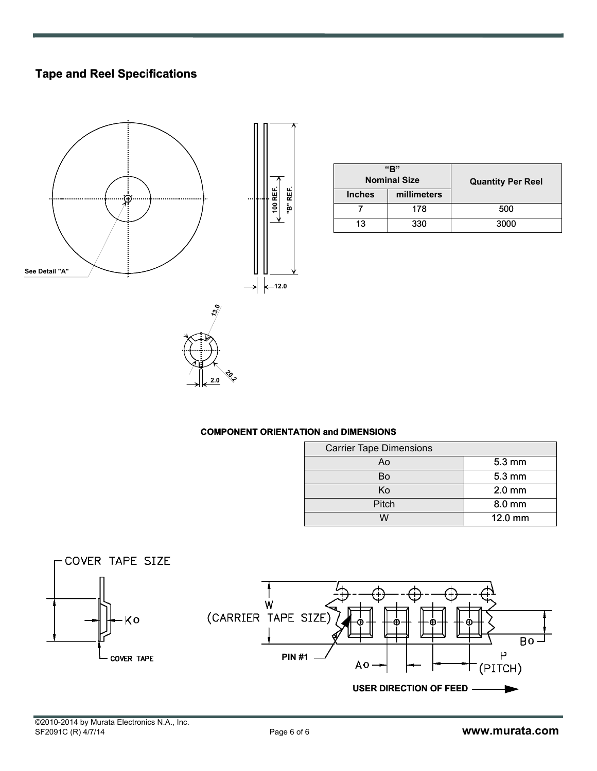## **Tape and Reel Specifications**



| "R"<br><b>Nominal Size</b> |             | <b>Quantity Per Reel</b> |
|----------------------------|-------------|--------------------------|
| <b>Inches</b>              | millimeters |                          |
|                            | 178         | 500                      |
| 13                         | 330         | 3000                     |

## **COMPONENT ORIENTATION and DIMENSIONS**

**20.2 2.0**

| <b>Carrier Tape Dimensions</b> |                  |  |  |  |
|--------------------------------|------------------|--|--|--|
| Ao                             | $5.3 \text{ mm}$ |  |  |  |
| Bo                             | $5.3 \text{ mm}$ |  |  |  |
| Κo                             | $2.0$ mm         |  |  |  |
| Pitch                          | 8.0 mm           |  |  |  |
|                                | $12.0$ mm        |  |  |  |